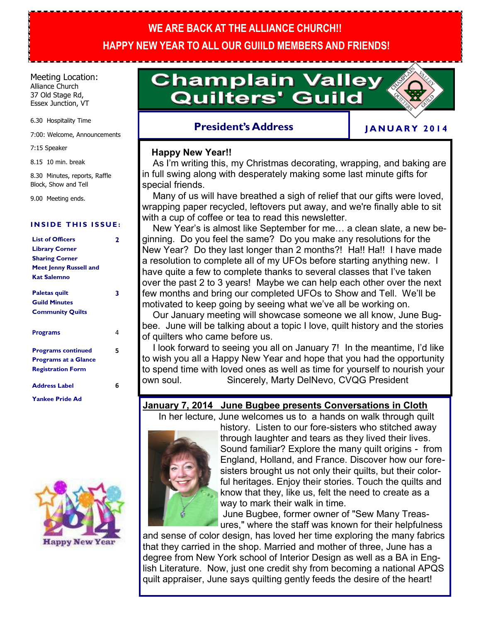# **WE ARE BACK AT THE ALLIANCE CHURCH!! HAPPY NEW YEAR TO ALL OUR GUIILD MEMBERS AND FRIENDS!**

#### Meeting Location: Alliance Church

37 Old Stage Rd, Essex Junction, VT

6.30 Hospitality Time

7:00: Welcome, Announcements

7:15 Speaker

8.15 10 min. break

8.30 Minutes, reports, Raffle Block, Show and Tell

9.00 Meeting ends.

#### **INSIDE THIS ISSUE:**

| <b>List of Officers</b>                                                         | 2           |
|---------------------------------------------------------------------------------|-------------|
| <b>Library Corner</b><br><b>Sharing Corner</b><br><b>Meet Jenny Russell and</b> |             |
|                                                                                 |             |
|                                                                                 | Kat Salemno |
| <b>Paletas quilt</b>                                                            | 3           |
| <b>Guild Minutes</b>                                                            |             |
| <b>Community Quilts</b>                                                         |             |
| <b>Programs</b>                                                                 | 4           |
| <b>Programs continued</b>                                                       | 5           |
| <b>Programs at a Glance</b>                                                     |             |
| <b>Registration Form</b>                                                        |             |
| <b>Address Label</b>                                                            | հ           |
| <b>Yankee Pride Ad</b>                                                          |             |



# **Champlain Valley Quilters' Guild**

## **President's Address**

## **J A N U A R Y 2 0 1 4**

### **Happy New Year!!**

As I'm writing this, my Christmas decorating, wrapping, and baking are in full swing along with desperately making some last minute gifts for special friends.

 Many of us will have breathed a sigh of relief that our gifts were loved, wrapping paper recycled, leftovers put away, and we're finally able to sit with a cup of coffee or tea to read this newsletter.

 New Year's is almost like September for me… a clean slate, a new beginning. Do you feel the same? Do you make any resolutions for the New Year? Do they last longer than 2 months?! Ha!! Ha!! I have made a resolution to complete all of my UFOs before starting anything new. I have quite a few to complete thanks to several classes that I've taken over the past 2 to 3 years! Maybe we can help each other over the next few months and bring our completed UFOs to Show and Tell. We'll be motivated to keep going by seeing what we've all be working on.

 Our January meeting will showcase someone we all know, June Bugbee. June will be talking about a topic I love, quilt history and the stories of quilters who came before us.

 I look forward to seeing you all on January 7! In the meantime, I'd like to wish you all a Happy New Year and hope that you had the opportunity to spend time with loved ones as well as time for yourself to nourish your own soul. Sincerely, Marty DelNevo, CVQG President

### **January 7, 2014 June Bugbee presents Conversations in Cloth**

In her lecture, June welcomes us to a hands on walk through quilt



history. Listen to our fore-sisters who stitched away through laughter and tears as they lived their lives. Sound familiar? Explore the many quilt origins - from England, Holland, and France. Discover how our foresisters brought us not only their quilts, but their colorful heritages. Enjoy their stories. Touch the quilts and know that they, like us, felt the need to create as a way to mark their walk in time.

June Bugbee, former owner of "Sew Many Treasures," where the staff was known for their helpfulness

and sense of color design, has loved her time exploring the many fabrics that they carried in the shop. Married and mother of three, June has a degree from New York school of Interior Design as well as a BA in English Literature. Now, just one credit shy from becoming a national APQS quilt appraiser, June says quilting gently feeds the desire of the heart!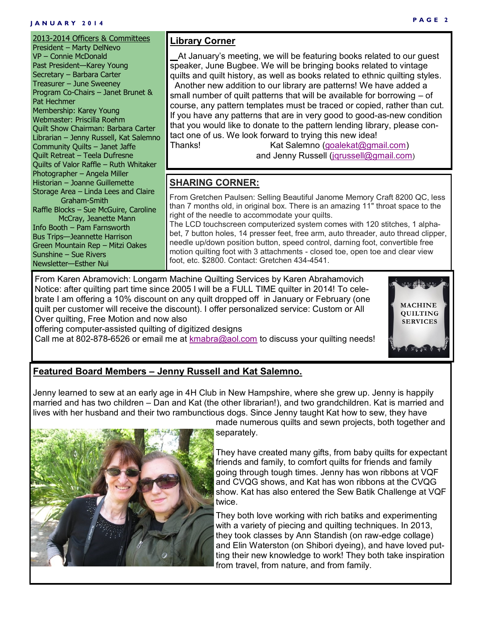#### **J A N U A R Y 2 0 1 4**

#### 2013-2014 Officers & Committees President – Marty DelNevo VP – Connie McDonald Past President—Karey Young Secretary – Barbara Carter Treasurer – June Sweeney Program Co-Chairs – Janet Brunet & Pat Hechmer Membership: Karey Young Webmaster: Priscilla Roehm Quilt Show Chairman: Barbara Carter Librarian – Jenny Russell, Kat Salemno Community Quilts – Janet Jaffe Quilt Retreat – Teela Dufresne Quilts of Valor Raffle – Ruth Whitaker Photographer – Angela Miller Historian – Joanne Guillemette Storage Area – Linda Lees and Claire Graham-Smith Raffle Blocks – Sue McGuire, Caroline McCray, Jeanette Mann Info Booth – Pam Farnsworth Bus Trips—Jeannette Harrison Green Mountain Rep – Mitzi Oakes Sunshine – Sue Rivers Newsletter—Esther Nui

## **Library Corner**

At January's meeting, we will be featuring books related to our guest speaker, June Bugbee. We will be bringing books related to vintage quilts and quilt history, as well as books related to ethnic quilting styles. Another new addition to our library are patterns! We have added a small number of quilt patterns that will be available for borrowing – of course, any pattern templates must be traced or copied, rather than cut. If you have any patterns that are in very good to good-as-new condition that you would like to donate to the pattern lending library, please contact one of us. We look forward to trying this new idea! Thanks! Kat Salemno (goalekat@gmail.com)

and Jenny Russell [\(jqrussell@gmail.com](mailto:jqrussell@gmail.com))

## **SHARING CORNER:**

From Gretchen Paulsen: Selling Beautiful Janome Memory Craft 8200 QC, less than 7 months old, in original box. There is an amazing 11" throat space to the right of the needle to accommodate your quilts.

The LCD touchscreen computerized system comes with 120 stitches, 1 alphabet, 7 button holes, 14 presser feet, free arm, auto threader, auto thread clipper, needle up/down position button, speed control, darning foot, convertible free motion quilting foot with 3 attachments - closed toe, open toe and clear view foot, etc. \$2800. Contact: Gretchen 434-4541.

From Karen Abramovich: Longarm Machine Quilting Services by Karen Abrahamovich Notice: after quilting part time since 2005 I will be a FULL TIME quilter in 2014! To celebrate I am offering a 10% discount on any quilt dropped off in January or February (one quilt per customer will receive the discount). I offer personalized service: Custom or All Over quilting, Free Motion and now also

offering computer-assisted quilting of digitized designs

Call me at 802-878-6526 or email me at [kmabra@aol.com](mailto:kmabra@aol.com) to discuss your quilting needs!

# **MACHINE QUILTING SERVICES**

## **Featured Board Members – Jenny Russell and Kat Salemno.**

Jenny learned to sew at an early age in 4H Club in New Hampshire, where she grew up. Jenny is happily married and has two children – Dan and Kat (the other librarian!), and two grandchildren. Kat is married and lives with her husband and their two rambunctious dogs. Since Jenny taught Kat how to sew, they have



made numerous quilts and sewn projects, both together and separately.

They have created many gifts, from baby quilts for expectant friends and family, to comfort quilts for friends and family going through tough times. Jenny has won ribbons at VQF and CVQG shows, and Kat has won ribbons at the CVQG show. Kat has also entered the Sew Batik Challenge at VQF twice.

They both love working with rich batiks and experimenting with a variety of piecing and quilting techniques. In 2013, they took classes by Ann Standish (on raw-edge collage) and Elin Waterston (on Shibori dyeing), and have loved putting their new knowledge to work! They both take inspiration from travel, from nature, and from family.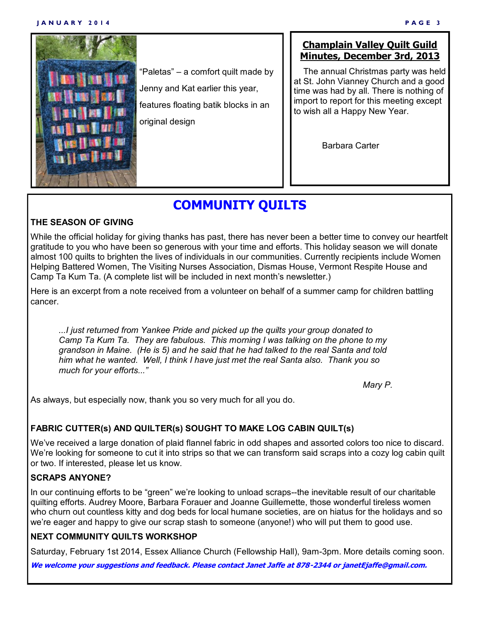#### **J A N U A R Y 2 0 1 4 P A G E 3**



"Paletas" – a comfort quilt made by Jenny and Kat earlier this year, features floating batik blocks in an original design

## **Champlain Valley Quilt Guild Minutes, December 3rd, 2013**

 The annual Christmas party was held at St. John Vianney Church and a good time was had by all. There is nothing of import to report for this meeting except to wish all a Happy New Year.

Barbara Carter

# **COMMUNITY QUILTS**

#### **THE SEASON OF GIVING**

While the official holiday for giving thanks has past, there has never been a better time to convey our heartfelt gratitude to you who have been so generous with your time and efforts. This holiday season we will donate almost 100 quilts to brighten the lives of individuals in our communities. Currently recipients include Women Helping Battered Women, The Visiting Nurses Association, Dismas House, Vermont Respite House and Camp Ta Kum Ta. (A complete list will be included in next month's newsletter.)

Here is an excerpt from a note received from a volunteer on behalf of a summer camp for children battling cancer.

*...I just returned from Yankee Pride and picked up the quilts your group donated to Camp Ta Kum Ta. They are fabulous. This morning I was talking on the phone to my grandson in Maine. (He is 5) and he said that he had talked to the real Santa and told him what he wanted. Well, I think I have just met the real Santa also. Thank you so much for your efforts..."*

*Mary P.*

As always, but especially now, thank you so very much for all you do.

### **FABRIC CUTTER(s) AND QUILTER(s) SOUGHT TO MAKE LOG CABIN QUILT(s)**

We've received a large donation of plaid flannel fabric in odd shapes and assorted colors too nice to discard. We're looking for someone to cut it into strips so that we can transform said scraps into a cozy log cabin quilt or two. If interested, please let us know.

### **SCRAPS ANYONE?**

In our continuing efforts to be "green" we're looking to unload scraps--the inevitable result of our charitable quilting efforts. Audrey Moore, Barbara Forauer and Joanne Guillemette, those wonderful tireless women who churn out countless kitty and dog beds for local humane societies, are on hiatus for the holidays and so we're eager and happy to give our scrap stash to someone (anyone!) who will put them to good use.

### **NEXT COMMUNITY QUILTS WORKSHOP**

Saturday, February 1st 2014, Essex Alliance Church (Fellowship Hall), 9am-3pm. More details coming soon.

**We welcome your suggestions and feedback. Please contact Janet Jaffe at 878-2344 or janetEjaffe@gmail.com.**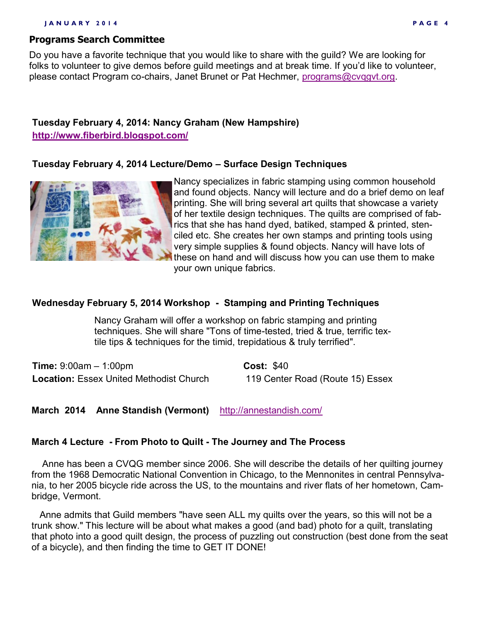#### **J A N U A R Y 2 0 1 4 P A G E 4**

#### **Programs Search Committee**

Do you have a favorite technique that you would like to share with the guild? We are looking for folks to volunteer to give demos before guild meetings and at break time. If you'd like to volunteer, please contact Program co-chairs, Janet Brunet or Pat Hechmer, [programs@cvqgvt.org.](mailto:programs@cvqgvt.org)

## **Tuesday February 4, 2014: Nancy Graham (New Hampshire)**

**<http://www.fiberbird.blogspot.com/>**

#### **Tuesday February 4, 2014 Lecture/Demo – Surface Design Techniques**



Nancy specializes in fabric stamping using common household and found objects. Nancy will lecture and do a brief demo on leaf printing. She will bring several art quilts that showcase a variety of her textile design techniques. The quilts are comprised of fabrics that she has hand dyed, batiked, stamped & printed, stenciled etc. She creates her own stamps and printing tools using very simple supplies & found objects. Nancy will have lots of these on hand and will discuss how you can use them to make your own unique fabrics.

#### **Wednesday February 5, 2014 Workshop - Stamping and Printing Techniques**

Nancy Graham will offer a workshop on fabric stamping and printing techniques. She will share "Tons of time-tested, tried & true, terrific textile tips & techniques for the timid, trepidatious & truly terrified".

**Time:** 9:00am – 1:00pm **Cost:** \$40 Location: Essex United Methodist Church 119 Center Road (Route 15) Essex

#### **March 2014 Anne Standish (Vermont)** <http://annestandish.com/>

#### **March 4 Lecture - From Photo to Quilt - The Journey and The Process**

 Anne has been a CVQG member since 2006. She will describe the details of her quilting journey from the 1968 Democratic National Convention in Chicago, to the Mennonites in central Pennsylvania, to her 2005 bicycle ride across the US, to the mountains and river flats of her hometown, Cambridge, Vermont.

 Anne admits that Guild members "have seen ALL my quilts over the years, so this will not be a trunk show." This lecture will be about what makes a good (and bad) photo for a quilt, translating that photo into a good quilt design, the process of puzzling out construction (best done from the seat of a bicycle), and then finding the time to GET IT DONE!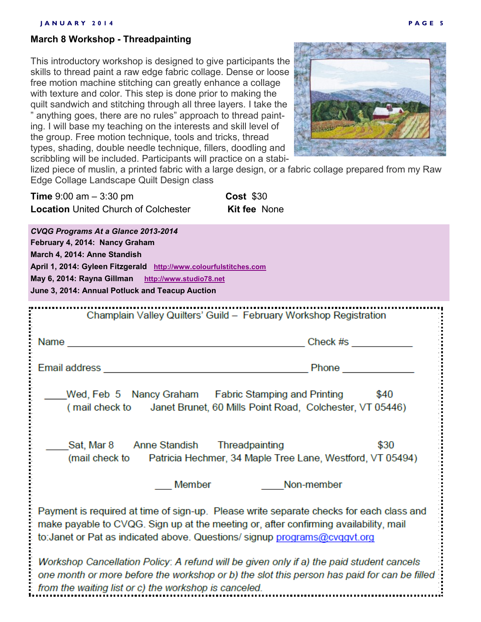#### **March 8 Workshop - Threadpainting**

This introductory workshop is designed to give participants the skills to thread paint a raw edge fabric collage. Dense or loose free motion machine stitching can greatly enhance a collage with texture and color. This step is done prior to making the quilt sandwich and stitching through all three layers. I take the " anything goes, there are no rules" approach to thread painting. I will base my teaching on the interests and skill level of the group. Free motion technique, tools and tricks, thread types, shading, double needle technique, fillers, doodling and scribbling will be included. Participants will practice on a stabi-



lized piece of muslin, a printed fabric with a large design, or a fabric collage prepared from my Raw Edge Collage Landscape Quilt Design class

| <b>Time</b> $9.00$ am $-3.30$ pm            | <b>Cost \$30</b>    |
|---------------------------------------------|---------------------|
| <b>Location United Church of Colchester</b> | <b>Kit fee None</b> |

*CVQG Programs At a Glance 2013-2014* **February 4, 2014: Nancy Graham March 4, 2014: Anne Standish April 1, 2014: Gyleen Fitzgerald [http://www.colourfulstitches.com](http://www.colourfulstitches.com/) May 6, 2014: Rayna Gillman [http://www.studio78.net](http://www.studio78.net/) June 3, 2014: Annual Potluck and Teacup Auction** Champlain Valley Quilters' Guild - February Workshop Registration Name <u>Check #strategy and the contract of the contract of the Check #strategy and the contract of the contract of the contract of the contract of the contract of the contract of the contract of the contract of the contract of t</u> Wed, Feb 5 Nancy Graham Fabric Stamping and Printing \$40 (mail check to Janet Brunet, 60 Mills Point Road, Colchester, VT 05446) Anne Standish Threadpainting \$30 Sat. Mar 8 (mail check to Patricia Hechmer, 34 Maple Tree Lane, Westford, VT 05494) **Member** Non-member Payment is required at time of sign-up. Please write separate checks for each class and make payable to CVQG. Sign up at the meeting or, after confirming availability, mail to: Janet or Pat as indicated above. Questions/signup programs@cvggvt.org Workshop Cancellation Policy: A refund will be given only if a) the paid student cancels one month or more before the workshop or b) the slot this person has paid for can be filled from the waiting list or c) the workshop is canceled.